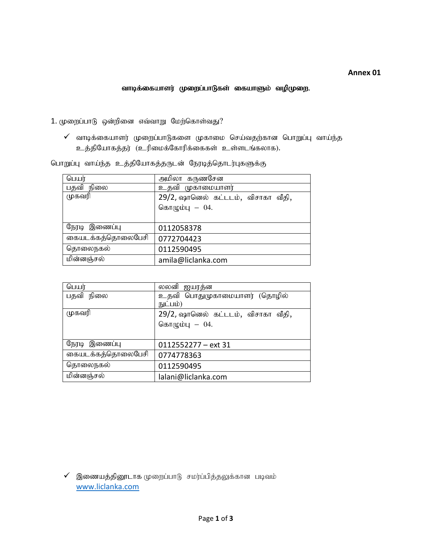## வாடிக்கையாளர் முறைப்பாடுகள் கையாளும் வழிமுறை.

 $1.$  முறைப்பாடு ஒன்றினை எவ்வாறு மேற்கொள்வது?

 $\checkmark$  வாடிக்கையாளர் முறைப்பாடுகளை முகாமை செய்வதற்கான பொறுப்பு வாய்ந்த உத்தியோகத்தர் (உரிமைக்கோரிக்கைகள் உள்ளடங்கலாக).

பொறுப்பு வாய்ந்த உத்தியோகத்தருடன் நேரடித்தொடர்புகளுக்கு

| பெயர்             | அமிலா கருணசேன                      |  |
|-------------------|------------------------------------|--|
| பதவி நிலை         | உதவி முகாமையாளர்                   |  |
| முகவரி            | 29/2, ஷானெல் கட்டடம், விசாகா வீதி, |  |
|                   | கொழும்பு $-04$ .                   |  |
|                   |                                    |  |
| நேரடி இணைப்பு     | 0112058378                         |  |
| கையடக்கத்தொலைபேசி | 0772704423                         |  |
| தொலைநகல்          | 0112590495                         |  |
| மின்னஞ்சல்        | amila@liclanka.com                 |  |

| பெயர்             | லலனி ஐயரத்ன                        |
|-------------------|------------------------------------|
| பதவி நிலை         | உதவி பொதுமுகாமையாளர் (தொழில்       |
|                   | நுட்பம்)                           |
| முகவரி            | 29/2, ஷானெல் கட்டடம், விசாகா வீதி, |
|                   | கொழும்பு $-04$ .                   |
|                   |                                    |
| நேரடி இணைப்பு     | $0112552277 - ext$ 31              |
| கையடக்கத்தொலைபேசி | 0774778363                         |
| தொலைநகல்          | 0112590495                         |
| மின்னஞ்சல்        | lalani@liclanka.com                |

 $\checkmark$  இணையத்தினூடாக முறைப்பாடு சமர்ப்பித்தலுக்கான படிவம் www.liclanka.com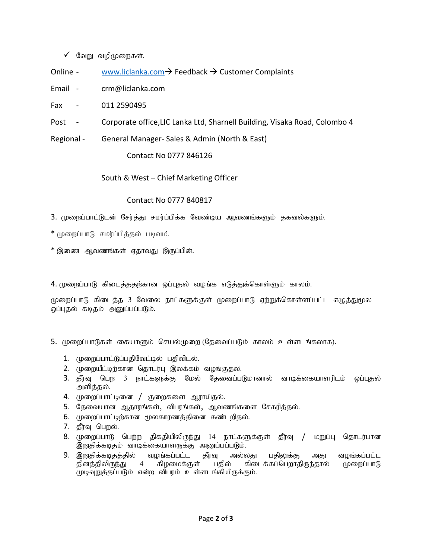- $\checkmark$  வேறு வழிமுறைகள்.
- Online www.liclanka.com → Feedback → Customer Complaints
- Email crm@liclanka.com
- Fax 011 2590495
- Post Corporate office,LIC Lanka Ltd, Sharnell Building, Visaka Road, Colombo 4
- Regional General Manager- Sales & Admin (North & East)

Contact No 0777 846126

South & West – Chief Marketing Officer

## Contact No 0777 840817

- 3. முறைப்பாட்டுடன் சேர்த்து சமர்ப்பிக்க வேண்டிய ஆவணங்களும் தகவல்களும்.
- \* (முறைப்பாடு சமர்ப்பித்தல் படிவம்.
- $*$  இணை ஆவணங்கள் ஏதாவது இருப்பின்.

4. முறைப்பாடு கிடைத்ததற்கான ஒப்புதல் வழங்க எடுத்துக்கொள்ளும் காலம்.

முறைப்பாடு கிடைத்த 3 வேலை நாட்களுக்குள் முறைப்பாடு ஏற்றுக்கொள்ளப்பட்ட எழுத்துமூல ஒப்புதல் கடிதம் அனுப்பப்படும்.

- 5. முறைப்பாடுகள் கையாளும் செயல்முறை (தேவைப்படும் காலம் உள்ளடங்கலாக).
	- 1. முறைப்பாட்டுப்பதிவேட்டில் பதிவிடல்.
	- 2. முறையீட்டிற்கான தொடர்பு இலக்கம் வழங்குதல்.
	- 3. தீர்வு பெற 3 நாட்களுக்கு மேல் தேவைப்படுமானால் வாடிக்கையாளரிடம் ஒப்புதல் அளித்தல்.
	- 4. முறைப்பாட்டினை / குறைகளை ஆராய்தல்.
	- 5. தேவையான ஆதாரங்கள், விபரங்கள், ஆவணங்களை சேகரித்தல்.
	- 6. முறைப்பாட்டிற்கான மூலகாரணத்தினை கண்டறிதல்.
	- 7. தீர்வு பெறல்.
	- 8. முறைப்பாடு பெற்ற திகதியிலிருந்து 14 நாட்களுக்குள் தீர்வு / மறுப்பு தொடர்பான இறுதிக்கடிதம் வாடிக்கையாளருக்கு அனுப்பப்படும்.
	- 9. இறுதிக்கடிதத்தில் வழங்கப்பட்ட தீர்வு அல்லது பதிலுக்கு அது வழங்கப்பட்ட தினத்திலிருந்து 4 கிழமைக்குள் பதில் கிடைக்கப்பெறாதிருந்தால் முறைப்பாடு (முடிவுறுத்தப்படும் என்ற விபரம் உள்ளடங்கியிருக்கும்.